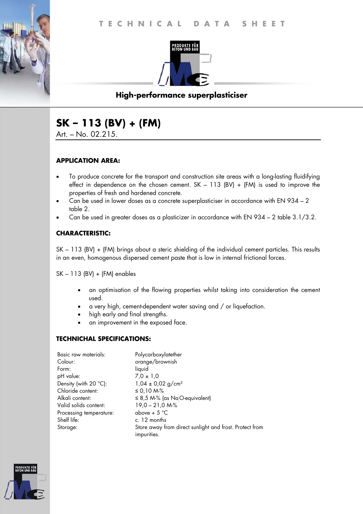

# **High-performance superplasticiser**

# **SK – 113 (BV) + (FM)**

Art. – No. 02.215.

## **APPLICATION AREA:**

- To produce concrete for the transport and construction site areas with a long-lasting fluidifying effect in dependence on the chosen cement.  $SK - 113$  (BV) + (FM) is used to improve the properties of fresh and hardened concrete.
- Can be used in lower doses as a concrete superplasticiser in accordance with EN 934 2 table 2.
- Can be used in greater doses as a plasticizer in accordance with EN 934 2 table 3.1/3.2.

## **CHARACTERISTIC:**

SK – 113 (BV) + (FM) brings about a steric shielding of the individual cement particles. This results in an even, homogenous dispersed cement paste that is low in internal frictional forces.

SK – 113 (BV) + (FM) enables

- an optimisation of the flowing properties whilst taking into consideration the cement used.
- a very high, cement-dependent water saving and / or liquefaction.
- high early and final strengths.
- an improvement in the exposed face.

#### **TECHNICHAL SPECIFICATIONS:**

| Basic raw materials:    | Polycarboxylatether                                                    |
|-------------------------|------------------------------------------------------------------------|
| Colour:                 | orange/brownish                                                        |
| Form:                   | liquid                                                                 |
| pH value:               | $7.0 \pm 1.0$                                                          |
| Density (with 20 °C):   | $1,04 \pm 0,02$ g/cm <sup>3</sup>                                      |
| Chloride content:       | ≤ 0,10 M-%                                                             |
| Alkali content:         | $\leq$ 8,5 M-% (as NaO-equivalent)                                     |
| Valid solids content:   | $19,0 - 21,0 M-S$                                                      |
| Processing temperature: | above + $5^{\circ}$ C                                                  |
| Shelf life:             | c. 12 months                                                           |
| Storage:                | Store away from direct sunlight and frost. Protect from<br>impurities. |